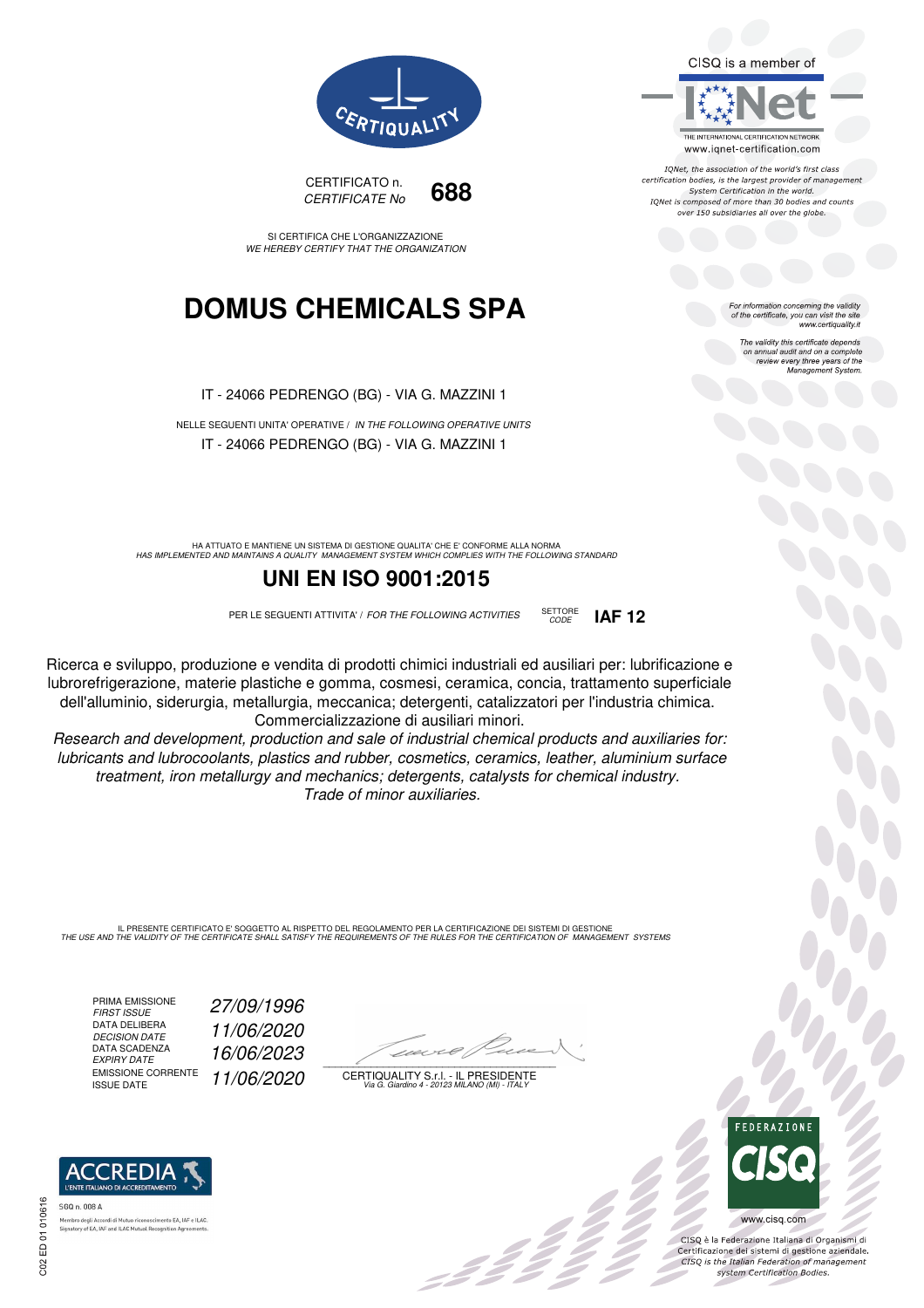CISQ is a member of



IQNet, the association of the world's first class certification bodies, is the largest provider of management System Certification in the world. IONet is composed of more than 30 bodies and counts over 150 subsidiaries all over the globe.

*CODE* **IAF 12**

For information concerning the validity of the certificate, you can visit the site www.certiquality.it

> The validity this certificate depends The validity this certificate depends<br>on annual audit and on a complete<br>review every three years of the<br>Management System.



CERTIFICATO n. *CERTIFICATE No* **688**

SI CERTIFICA CHE L'ORGANIZZAZIONE *WE HEREBY CERTIFY THAT THE ORGANIZATION*

## **DOMUS CHEMICALS SPA**

IT - 24066 PEDRENGO (BG) - VIA G. MAZZINI 1

NELLE SEGUENTI UNITA' OPERATIVE / *IN THE FOLLOWING OPERATIVE UNITS* IT - 24066 PEDRENGO (BG) - VIA G. MAZZINI 1

HA ATTUATO E MANTIENE UN SISTEMA DI GESTIONE QUALITA' CHE E' CONFORME ALLA NORMA<br>HAS IMPLEMENTED AND MAINTAINS A QUALITY MANAGEMENT SYSTEM WHICH COMPLIES WITH THE FOLLOWING STANDARD

### **UNI EN ISO 9001:2015**

PER LE SEGUENTI ATTIVITA' / *FOR THE FOLLOWING ACTIVITIES* SETTORE

Ricerca e sviluppo, produzione e vendita di prodotti chimici industriali ed ausiliari per: lubrificazione e lubrorefrigerazione, materie plastiche e gomma, cosmesi, ceramica, concia, trattamento superficiale dell'alluminio, siderurgia, metallurgia, meccanica; detergenti, catalizzatori per l'industria chimica. Commercializzazione di ausiliari minori.

*Research and development, production and sale of industrial chemical products and auxiliaries for: lubricants and lubrocoolants, plastics and rubber, cosmetics, ceramics, leather, aluminium surface treatment, iron metallurgy and mechanics; detergents, catalysts for chemical industry. Trade of minor auxiliaries.*

IL PRESENTE CERTIFICATO E' SOGGETTO AL RISPETTO DEL REGOLAMENTO PER LA CERTIFICAZIONE DEI SISTEMI DI GESTIONE<br>THE USE AND THE VALIDITY OF THE CERTIFICATE SHALL SATISFY THE REQUIREMENTS OF THE RULES FOR THE CERTIFICATION OF

PRIMA EMISSIONE<br>FIRST ISSUE DATA DELIBERA<br>DECISION DATE DATA SCADENZA<br>EXPIRY DATE EMISSIONE CORRENTE<br>ISSUE DATE *FIRST ISSUE 27/09/1996 DECISION DATE 11/06/2020 EXPIRY DATE 16/06/2023* ISSUE DATE *11/06/2020*

 $\overline{\phantom{a}}$ 

:422

CERTIQUALITY S.r.l. - IL PRESIDENTE *Via G. Giardino 4 - 20123 MILANO (MI) - ITALY*



 $\frac{1}{2}$ 

www.cisq.com

CISO è la Federazione Italiana di Organismi di CISQ e la regerazione italiana di Organismi di<br>Certificazione dei sistemi di gestione aziendale.<br>CISQ is the Italian Federation of management system Certification Bodies.



ory of EA, IAF and ILAC Mutual Recogni